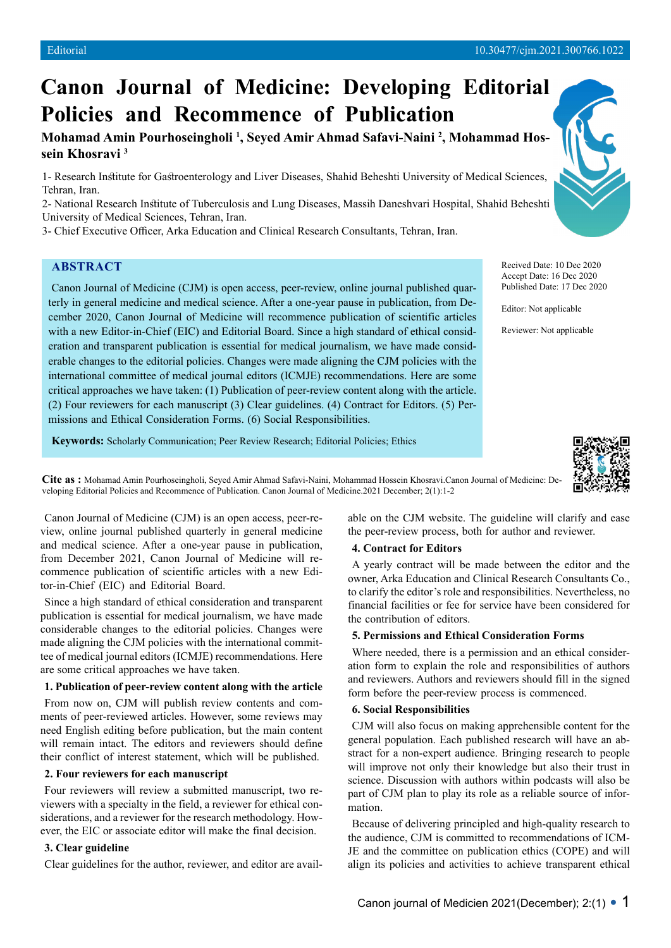# **Canon Journal of Medicine: Developing Editorial Policies and Recommence of Publication**

**Mohamad Amin Pourhoseingholi 1 , Seyed Amir Ahmad Safavi-Naini 2 , Mohammad Hossein Khosravi 3**

1- Research Institute for Gastroenterology and Liver Diseases, Shahid Beheshti University of Medical Sciences, Tehran, Iran.

2- National Research Institute of Tuberculosis and Lung Diseases, Massih Daneshvari Hospital, Shahid Beheshti University of Medical Sciences, Tehran, Iran.

3- Chief Executive Officer, Arka Education and Clinical Research Consultants, Tehran, Iran.

## **ABSTRACT**

Canon Journal of Medicine (CJM) is open access, peer-review, online journal published quarterly in general medicine and medical science. After a one-year pause in publication, from December 2020, Canon Journal of Medicine will recommence publication of scientific articles with a new Editor-in-Chief (EIC) and Editorial Board. Since a high standard of ethical consideration and transparent publication is essential for medical journalism, we have made considerable changes to the editorial policies. Changes were made aligning the CJM policies with the international committee of medical journal editors (ICMJE) recommendations. Here are some critical approaches we have taken: (1) Publication of peer-review content along with the article. (2) Four reviewers for each manuscript (3) Clear guidelines. (4) Contract for Editors. (5) Permissions and Ethical Consideration Forms. (6) Social Responsibilities.

**Keywords:** Scholarly Communication; Peer Review Research; Editorial Policies; Ethics

**Cite as :** Mohamad Amin Pourhoseingholi, Seyed Amir Ahmad Safavi-Naini, Mohammad Hossein Khosravi.Canon Journal of Medicine: Developing Editorial Policies and Recommence of Publication. Canon Journal of Medicine.2021 December; 2(1):1-2

> able on the CJM website. The guideline will clarify and ease the peer-review process, both for author and reviewer.

#### **4. Contract for Editors**

A yearly contract will be made between the editor and the owner, Arka Education and Clinical Research Consultants Co., to clarify the editor's role and responsibilities. Nevertheless, no financial facilities or fee for service have been considered for the contribution of editors.

## **5. Permissions and Ethical Consideration Forms**

Where needed, there is a permission and an ethical consideration form to explain the role and responsibilities of authors and reviewers. Authors and reviewers should fill in the signed form before the peer-review process is commenced.

## **6. Social Responsibilities**

CJM will also focus on making apprehensible content for the general population. Each published research will have an abstract for a non-expert audience. Bringing research to people will improve not only their knowledge but also their trust in science. Discussion with authors within podcasts will also be part of CJM plan to play its role as a reliable source of information.

Because of delivering principled and high-quality research to the audience, CJM is committed to recommendations of ICM-JE and the committee on publication ethics (COPE) and will align its policies and activities to achieve transparent ethical

#### their conflict of interest statement, which will be published. **2. Four reviewers for each manuscript**

are some critical approaches we have taken.

tor-in-Chief (EIC) and Editorial Board.

Four reviewers will review a submitted manuscript, two reviewers with a specialty in the field, a reviewer for ethical considerations, and a reviewer for the research methodology. However, the EIC or associate editor will make the final decision.

Canon Journal of Medicine (CJM) is an open access, peer-review, online journal published quarterly in general medicine and medical science. After a one-year pause in publication, from December 2021, Canon Journal of Medicine will recommence publication of scientific articles with a new Edi-

Since a high standard of ethical consideration and transparent publication is essential for medical journalism, we have made considerable changes to the editorial policies. Changes were made aligning the CJM policies with the international committee of medical journal editors (ICMJE) recommendations. Here

**1. Publication of peer-review content along with the article** From now on, CJM will publish review contents and comments of peer-reviewed articles. However, some reviews may need English editing before publication, but the main content will remain intact. The editors and reviewers should define

## **3. Clear guideline**

Clear guidelines for the author, reviewer, and editor are avail-



Accept Date: 16 Dec 2020 Published Date: 17 Dec 2020

Editor: Not applicable

Reviewer: Not applicable